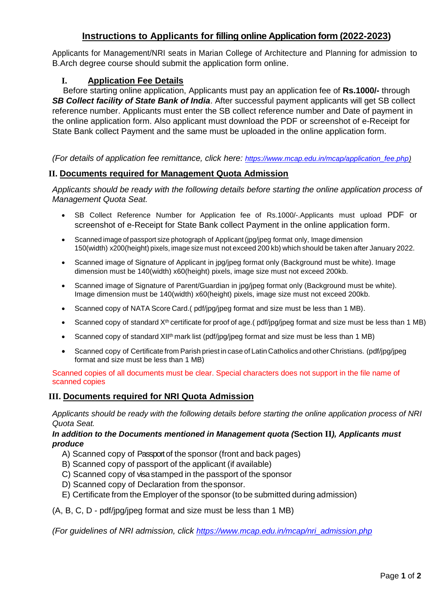## **Instructions to Applicants for filling online Application form (2022-2023)**

Applicants for Management/NRI seats in Marian College of Architecture and Planning for admission to B.Arch degree course should submit the application form online.

### **I. Application Fee Details**

Before starting online application, Applicants must pay an application fee of **Rs.1000/-** through *SB Collect facility of State Bank of India*. After successful payment applicants will get SB collect reference number. Applicants must enter the SB collect reference number and Date of payment in the online application form. Also applicant must download the PDF or screenshot of e-Receipt for State Bank collect Payment and the same must be uploaded in the online application form.

*(For details of application fee remittance, click here: [https://www.mcap.edu.in/mcap/application\\_fee.php\)](https://www.mcap.edu.in/mcap/application_fee.php)*

#### **II. Documents required for Management Quota Admission**

*Applicants should be ready with the following details before starting the online application process of Management Quota Seat.*

- SB Collect Reference Number for Application fee of Rs.1000/-.Applicants must upload PDF or screenshot of e-Receipt for State Bank collect Payment in the online application form.
- Scanned image of passport size photograph of Applicant (jpg/jpeg format only, Image dimension 150(width) x200(height) pixels, image size must not exceed 200 kb) which should be taken after January 2022.
- Scanned image of Signature of Applicant in jpg/jpeg format only (Background must be white). Image dimension must be 140(width) x60(height) pixels, image size must not exceed 200kb.
- Scanned image of Signature of Parent/Guardian in jpg/jpeg format only (Background must be white). Image dimension must be 140(width) x60(height) pixels, image size must not exceed 200kb.
- Scanned copy of NATA Score Card.( pdf/jpg/jpeg format and size must be less than 1 MB).
- Scanned copy of standard X<sup>th</sup> certificate for proof of age.( pdf/jpg/jpeg format and size must be less than 1 MB)
- Scanned copy of standard XII<sup>th</sup> mark list (pdf/jpg/jpeg format and size must be less than 1 MB)
- Scanned copy of Certificate from Parish priest in case of Latin Catholics and other Christians. (pdf/jpg/jpeg format and size must be less than 1 MB)

Scanned copies of all documents must be clear. Special characters does not support in the file name of scanned copies

#### **III. Documents required for NRI Quota Admission**

*Applicants should be ready with the following details before starting the online application process of NRI Quota Seat.*

#### *In addition to the Documents mentioned in Management quota (***Section II***), Applicants must produce*

- A) Scanned copy of Passportof the sponsor (front and back pages)
- B) Scanned copy of passport of the applicant (if available)
- C) Scanned copy of visastamped in the passport of the sponsor
- D) Scanned copy of Declaration from thesponsor.
- E) Certificate from the Employer of the sponsor (to be submitted during admission)

(A, B, C, D - pdf/jpg/jpeg format and size must be less than 1 MB)

*(For guidelines of NRI admission, click [https://www.mcap.edu.in/mcap/nri\\_admission.php](https://www.mcap.edu.in/mcap/nri_admission.php)*